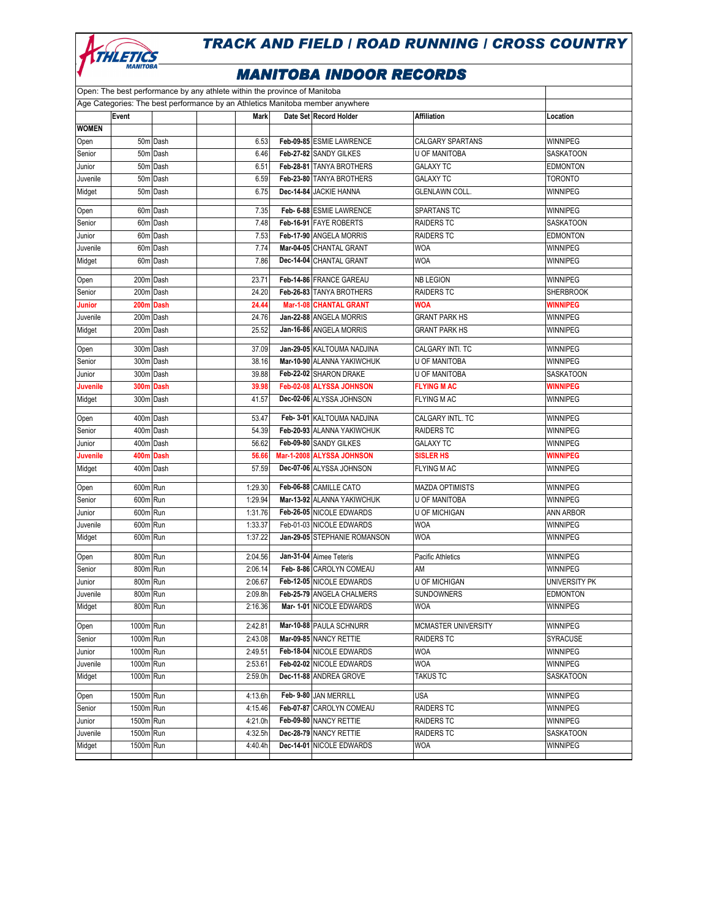

| Open: The best performance by any athlete within the province of Manitoba     |                      |          |  |                    |  |                                                       |                                    |                                  |
|-------------------------------------------------------------------------------|----------------------|----------|--|--------------------|--|-------------------------------------------------------|------------------------------------|----------------------------------|
| Age Categories: The best performance by an Athletics Manitoba member anywhere |                      |          |  |                    |  |                                                       |                                    |                                  |
|                                                                               | Event                |          |  | Mark               |  | Date Set Record Holder                                | Affiliation                        | Location                         |
| <b>WOMEN</b>                                                                  |                      |          |  |                    |  |                                                       |                                    |                                  |
| Open                                                                          |                      | 50m Dash |  | 6.53               |  | Feb-09-85 ESMIE LAWRENCE                              | CALGARY SPARTANS                   | WINNIPEG                         |
| Senior                                                                        |                      | 50m Dash |  | 6.46               |  | Feb-27-82 SANDY GILKES                                | <b>U OF MANITOBA</b>               | <b>SASKATOON</b>                 |
| Junior                                                                        |                      | 50m Dash |  | 6.51               |  | Feb-28-81 TANYA BROTHERS                              | <b>GALAXY TC</b>                   | <b>EDMONTON</b>                  |
| Juvenile                                                                      |                      | 50m Dash |  | 6.59               |  | Feb-23-80 TANYA BROTHERS                              | <b>GALAXY TC</b>                   | TORONTO                          |
| Midget                                                                        |                      | 50m Dash |  | 6.75               |  | Dec-14-84 JACKIE HANNA                                | <b>GLENLAWN COLL.</b>              | WINNIPEG                         |
| Open                                                                          |                      | 60m Dash |  | 7.35               |  | Feb- 6-88 ESMIE LAWRENCE                              | SPARTANS TC                        | WINNIPEG                         |
| Senior                                                                        |                      | 60m Dash |  | 7.48               |  | Feb-16-91 FAYE ROBERTS                                | <b>RAIDERS TC</b>                  | <b>SASKATOON</b>                 |
| Junior                                                                        |                      | 60m Dash |  | 7.53               |  | Feb-17-90 ANGELA MORRIS                               | <b>RAIDERS TC</b>                  | <b>EDMONTON</b>                  |
| Juvenile                                                                      |                      | 60m Dash |  | 7.74               |  | Mar-04-05 CHANTAL GRANT                               | <b>WOA</b>                         | WINNIPEG                         |
| Midget                                                                        |                      | 60m Dash |  | 7.86               |  | Dec-14-04 CHANTAL GRANT                               | <b>WOA</b>                         | WINNIPEG                         |
| Open                                                                          | 200m Dash            |          |  | 23.71              |  | Feb-14-86 FRANCE GAREAU                               | <b>NB LEGION</b>                   | WINNIPEG                         |
| Senior                                                                        | 200m Dash            |          |  | 24.20              |  | Feb-26-83 TANYA BROTHERS                              | <b>RAIDERS TC</b>                  | <b>SHERBROOK</b>                 |
| <b>Junior</b>                                                                 | 200m Dash            |          |  | 24.44              |  | Mar-1-08 CHANTAL GRANT                                | WOA                                | <b>WINNIPEG</b>                  |
| Juvenile                                                                      | 200m Dash            |          |  | 24.76              |  | Jan-22-88 ANGELA MORRIS                               | <b>GRANT PARK HS</b>               | WINNIPEG                         |
| Midget                                                                        | 200m Dash            |          |  | 25.52              |  | Jan-16-86 ANGELA MORRIS                               | <b>GRANT PARK HS</b>               | WINNIPEG                         |
|                                                                               |                      |          |  |                    |  |                                                       |                                    |                                  |
| Open                                                                          | 300m Dash            |          |  | 37.09              |  | Jan-29-05 KALTOUMA NADJINA                            | CALGARY INTI. TC                   | WINNIPEG                         |
| Senior                                                                        | 300m Dash            |          |  | 38.16              |  | Mar-10-90 ALANNA YAKIWCHUK                            | <b>U OF MANITOBA</b>               | <b>WINNIPEG</b>                  |
| Junior                                                                        | 300m Dash            |          |  | 39.88              |  | Feb-22-02 SHARON DRAKE                                | U OF MANITOBA                      | SASKATOON                        |
| <b>Juvenile</b>                                                               | 300m Dash            |          |  | 39.98              |  | Feb-02-08 ALYSSA JOHNSON                              | <b>FLYING M AC</b>                 | <b>WINNIPEG</b>                  |
| Midget                                                                        | 300m Dash            |          |  | 41.57              |  | Dec-02-06 ALYSSA JOHNSON                              | <b>FLYING M AC</b>                 | WINNIPEG                         |
| Open                                                                          | 400m Dash            |          |  | 53.47              |  | Feb- 3-01 KALTOUMA NADJINA                            | CALGARY INTL. TC                   | WINNIPEG                         |
| Senior                                                                        | 400m Dash            |          |  | 54.39              |  | Feb-20-93 ALANNA YAKIWCHUK                            | <b>RAIDERS TC</b>                  | <b>WINNIPEG</b>                  |
| Junior                                                                        | 400m Dash            |          |  | 56.62              |  | Feb-09-80 SANDY GILKES                                | <b>GALAXY TC</b>                   | WINNIPEG                         |
| <b>Juvenile</b>                                                               | 400m Dash            |          |  | 56.66              |  | Mar-1-2008 ALYSSA JOHNSON                             | <b>SISLER HS</b>                   | <b>WINNIPEG</b>                  |
| Midget                                                                        | 400m Dash            |          |  | 57.59              |  | Dec-07-06 ALYSSA JOHNSON                              | <b>FLYING M AC</b>                 | WINNIPEG                         |
| Open                                                                          | 600m Run             |          |  | 1:29.30            |  | Feb-06-88 CAMILLE CATO                                | <b>MAZDA OPTIMISTS</b>             | WINNIPEG                         |
| Senior                                                                        | 600m Run             |          |  | 1:29.94            |  | Mar-13-92 ALANNA YAKIWCHUK                            | U OF MANITOBA                      | WINNIPEG                         |
| Junior                                                                        | 600m Run             |          |  | 1:31.76            |  | Feb-26-05 NICOLE EDWARDS                              | U OF MICHIGAN                      | <b>ANN ARBOR</b>                 |
| Juvenile                                                                      | 600m Run             |          |  | 1:33.37            |  | Feb-01-03 NICOLE EDWARDS                              | <b>WOA</b>                         | <b>WINNIPEG</b>                  |
| Midget                                                                        | 600m Run             |          |  | 1:37.22            |  | Jan-29-05 STEPHANIE ROMANSON                          | <b>WOA</b>                         | WINNIPEG                         |
|                                                                               |                      |          |  |                    |  |                                                       |                                    |                                  |
| Open                                                                          | 800m Run             |          |  | 2:04.56            |  | Jan-31-04 Aimee Teteris                               | Pacific Athletics                  | WINNIPEG                         |
| Senior                                                                        | 800m Run             |          |  | 2:06.14            |  | Feb- 8-86 CAROLYN COMEAU                              | ΑM                                 | WINNIPEG                         |
| Junior                                                                        | 800m Run             |          |  | 2:06.67            |  | Feb-12-05 NICOLE EDWARDS<br>Feb-25-79 ANGELA CHALMERS | <b>U OF MICHIGAN</b><br>SUNDOWNERS | UNIVERSITY PK<br><b>EDMONTON</b> |
| Juvenile<br>Midget                                                            | 800m Run<br>800m Run |          |  | 2:09.8h<br>2:16.36 |  | Mar- 1-01 NICOLE EDWARDS                              | <b>WOA</b>                         | WINNIPEG                         |
|                                                                               |                      |          |  |                    |  |                                                       |                                    |                                  |
| Open                                                                          | 1000m Run            |          |  | 2:42.81            |  | Mar-10-88 PAULA SCHNURR                               | <b>MCMASTER UNIVERSITY</b>         | WINNIPEG                         |
| Senior                                                                        | 1000m Run            |          |  | 2:43.08            |  | Mar-09-85 NANCY RETTIE                                | <b>RAIDERS TC</b>                  | SYRACUSE                         |
| Junior                                                                        | 1000m Run            |          |  | 2:49.51            |  | Feb-18-04 NICOLE EDWARDS                              | <b>WOA</b>                         | WINNIPEG                         |
| Juvenile                                                                      | 1000m Run            |          |  | 2:53.61            |  | Feb-02-02 NICOLE EDWARDS                              | <b>WOA</b>                         | WINNIPEG                         |
| Midget                                                                        | 1000m Run            |          |  | 2:59.0h            |  | Dec-11-88 ANDREA GROVE                                | <b>TAKUS TC</b>                    | SASKATOON                        |
| Open                                                                          | 1500m Run            |          |  | 4:13.6h            |  | Feb- 9-80 JAN MERRILL                                 | USA                                | WINNIPEG                         |
| Senior                                                                        | 1500m Run            |          |  | 4:15.46            |  | Feb-07-87 CAROLYN COMEAU                              | RAIDERS TC                         | WINNIPEG                         |
| Junior                                                                        | 1500m Run            |          |  | 4:21.0h            |  | Feb-09-80 NANCY RETTIE                                | <b>RAIDERS TC</b>                  | WINNIPEG                         |
| Juvenile                                                                      | 1500m Run            |          |  | 4:32.5h            |  | Dec-28-79 NANCY RETTIE                                | <b>RAIDERS TC</b>                  | SASKATOON                        |
| Midget                                                                        | 1500m Run            |          |  | 4:40.4h            |  | Dec-14-01 NICOLE EDWARDS                              | WOA                                | WINNIPEG                         |
|                                                                               |                      |          |  |                    |  |                                                       |                                    |                                  |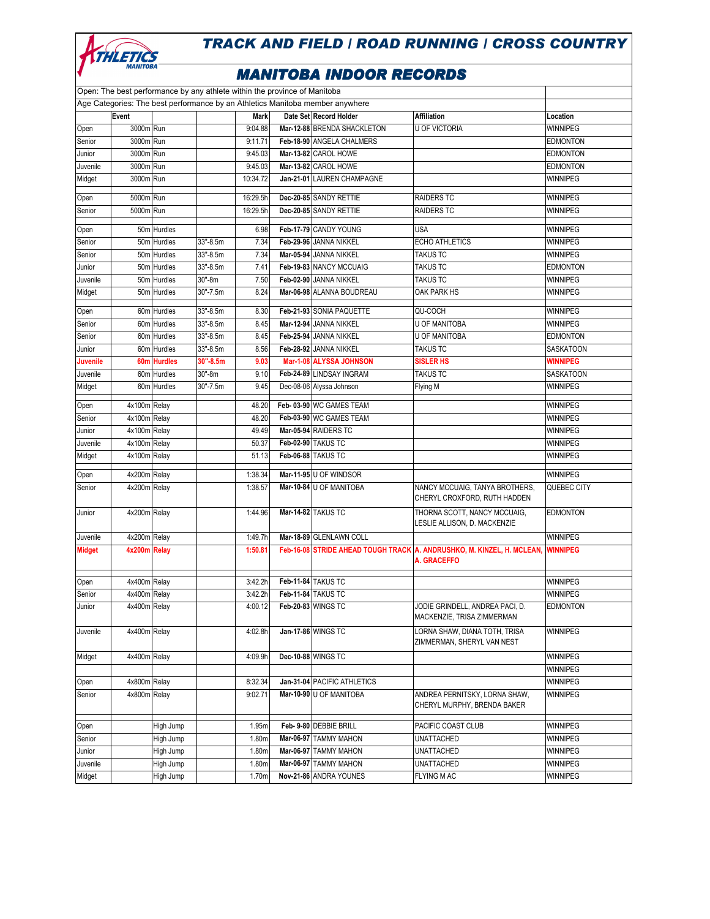

|                                                                               | Open: The best performance by any athlete within the province of Manitoba |             |          |             |  |                             |                                                                                       |                 |  |  |
|-------------------------------------------------------------------------------|---------------------------------------------------------------------------|-------------|----------|-------------|--|-----------------------------|---------------------------------------------------------------------------------------|-----------------|--|--|
| Age Categories: The best performance by an Athletics Manitoba member anywhere |                                                                           |             |          |             |  |                             |                                                                                       |                 |  |  |
|                                                                               | Event                                                                     |             |          | <b>Mark</b> |  | Date Set Record Holder      | <b>Affiliation</b>                                                                    | Location        |  |  |
| Open                                                                          | 3000m Run                                                                 |             |          | 9:04.88     |  | Mar-12-88 BRENDA SHACKLETON | <b>U OF VICTORIA</b>                                                                  | WINNIPEG        |  |  |
| Senior                                                                        | 3000m Run                                                                 |             |          | 9:11.71     |  | Feb-18-90 ANGELA CHALMERS   |                                                                                       | <b>EDMONTON</b> |  |  |
| Junior                                                                        | 3000m Run                                                                 |             |          | 9:45.03     |  | Mar-13-82 CAROL HOWE        |                                                                                       | <b>EDMONTON</b> |  |  |
| Juvenile                                                                      | 3000m Run                                                                 |             |          | 9:45.03     |  | Mar-13-82 CAROL HOWE        |                                                                                       | <b>EDMONTON</b> |  |  |
| Midget                                                                        | 3000m Run                                                                 |             |          | 10:34.72    |  | Jan-21-01 LAUREN CHAMPAGNE  |                                                                                       | WINNIPEG        |  |  |
| Open                                                                          | 5000m Run                                                                 |             |          | 16:29.5h    |  | Dec-20-85 SANDY RETTIE      | <b>RAIDERS TC</b>                                                                     | WINNIPEG        |  |  |
| Senior                                                                        | 5000m Run                                                                 |             |          | 16:29.5h    |  | Dec-20-85 SANDY RETTIE      | <b>RAIDERS TC</b>                                                                     | <b>WINNIPEG</b> |  |  |
| Open                                                                          |                                                                           | 50m Hurdles |          | 6.98        |  | Feb-17-79 CANDY YOUNG       | <b>USA</b>                                                                            | WINNIPEG        |  |  |
| Senior                                                                        |                                                                           | 50m Hurdles | 33"-8.5m | 7.34        |  | Feb-29-96 JANNA NIKKEL      | <b>ECHO ATHLETICS</b>                                                                 | <b>WINNIPEG</b> |  |  |
| Senior                                                                        |                                                                           | 50m Hurdles | 33"-8.5m | 7.34        |  | Mar-05-94 JANNA NIKKEL      | <b>TAKUS TC</b>                                                                       | WINNIPEG        |  |  |
| Junior                                                                        |                                                                           | 50m Hurdles | 33"-8.5m | 7.41        |  | Feb-19-83 NANCY MCCUAIG     | <b>TAKUS TC</b>                                                                       | <b>EDMONTON</b> |  |  |
| Juvenile                                                                      |                                                                           | 50m Hurdles | 30"-8m   | 7.50        |  | Feb-02-90 JANNA NIKKEL      | <b>TAKUS TC</b>                                                                       | WINNIPEG        |  |  |
| Midget                                                                        |                                                                           | 50m Hurdles | 30"-7.5m | 8.24        |  | Mar-06-98 ALANNA BOUDREAU   | OAK PARK HS                                                                           | WINNIPEG        |  |  |
| Open                                                                          |                                                                           | 60m Hurdles | 33"-8.5m | 8.30        |  | Feb-21-93 SONIA PAQUETTE    | QU-COCH                                                                               | WINNIPEG        |  |  |
| Senior                                                                        |                                                                           | 60m Hurdles | 33"-8.5m | 8.45        |  | Mar-12-94 JANNA NIKKEL      | <b>U OF MANITOBA</b>                                                                  | <b>WINNIPEG</b> |  |  |
| Senior                                                                        |                                                                           | 60m Hurdles | 33"-8.5m | 8.45        |  | Feb-25-94 JANNA NIKKEL      | <b>U OF MANITOBA</b>                                                                  | <b>EDMONTON</b> |  |  |
| Junior                                                                        |                                                                           | 60m Hurdles | 33"-8.5m | 8.56        |  | Feb-28-92 JANNA NIKKEL      | <b>TAKUS TC</b>                                                                       | SASKATOON       |  |  |
| <b>Juvenile</b>                                                               |                                                                           | 60m Hurdles | 30"-8.5m | 9.03        |  | Mar-1-08 ALYSSA JOHNSON     | <b>SISLER HS</b>                                                                      | <b>WINNIPEG</b> |  |  |
| Juvenile                                                                      |                                                                           | 60m Hurdles | 30"-8m   | 9.10        |  | Feb-24-89 LINDSAY INGRAM    | <b>TAKUS TC</b>                                                                       | SASKATOON       |  |  |
| Midget                                                                        |                                                                           | 60m Hurdles | 30"-7.5m | 9.45        |  | Dec-08-06 Alyssa Johnson    | Flying M                                                                              | WINNIPEG        |  |  |
| Open                                                                          | 4x100m Relay                                                              |             |          | 48.20       |  | Feb-03-90 WC GAMES TEAM     |                                                                                       | WINNIPEG        |  |  |
| Senior                                                                        | 4x100m Relay                                                              |             |          | 48.20       |  | Feb-03-90 WC GAMES TEAM     |                                                                                       | WINNIPEG        |  |  |
| Junior                                                                        | 4x100m Relay                                                              |             |          | 49.49       |  | Mar-05-94 RAIDERS TC        |                                                                                       | <b>WINNIPEG</b> |  |  |
| Juvenile                                                                      | 4x100m Relay                                                              |             |          | 50.37       |  | Feb-02-90 TAKUS TC          |                                                                                       | WINNIPEG        |  |  |
| Midget                                                                        | 4x100m Relay                                                              |             |          | 51.13       |  | Feb-06-88 TAKUS TC          |                                                                                       | WINNIPEG        |  |  |
|                                                                               |                                                                           |             |          |             |  |                             |                                                                                       |                 |  |  |
| Open                                                                          | 4x200m Relay                                                              |             |          | 1:38.34     |  | Mar-11-95 U OF WINDSOR      |                                                                                       | WINNIPEG        |  |  |
| Senior                                                                        | 4x200m Relay                                                              |             |          | 1:38.57     |  | Mar-10-84 U OF MANITOBA     | NANCY MCCUAIG, TANYA BROTHERS,<br>CHERYL CROXFORD, RUTH HADDEN                        | QUEBEC CITY     |  |  |
| Junior                                                                        | 4x200m Relay                                                              |             |          | 1:44.96     |  | Mar-14-82 TAKUS TC          | THORNA SCOTT, NANCY MCCUAIG,<br>LESLIE ALLISON, D. MACKENZIE                          | <b>EDMONTON</b> |  |  |
| Juvenile                                                                      | 4x200m Relay                                                              |             |          | 1:49.7h     |  | Mar-18-89 GLENLAWN COLL     |                                                                                       | WINNIPEG        |  |  |
| <b>Midget</b>                                                                 | 4x200m Relay                                                              |             |          | 1:50.81     |  |                             | Feb-16-08 STRIDE AHEAD TOUGH TRACK A. ANDRUSHKO, M. KINZEL, H. MCLEAN,<br>A. GRACEFFO | <b>WINNIPEG</b> |  |  |
| Open                                                                          | 4x400m Relay                                                              |             |          | 3:42.2h     |  | Feb-11-84 TAKUS TC          |                                                                                       | <b>WINNIPEG</b> |  |  |
| Senior                                                                        | 4x400m Relay                                                              |             |          | 3:42.2h     |  | Feb-11-84 TAKUS TC          |                                                                                       | WINNIPEG        |  |  |
| Junior                                                                        | 4x400m Relay                                                              |             |          | 4:00.12     |  | Feb-20-83 WINGS TC          | JODIE GRINDELL, ANDREA PACI, D.                                                       | <b>EDMONTON</b> |  |  |
|                                                                               |                                                                           |             |          |             |  |                             | MACKENZIE, TRISA ZIMMERMAN                                                            |                 |  |  |
| Juvenile                                                                      | 4x400m Relay                                                              |             |          | 4:02.8h     |  | Jan-17-86 WINGS TC          | LORNA SHAW, DIANA TOTH, TRISA<br>ZIMMERMAN, SHERYL VAN NEST                           | <b>WINNIPEG</b> |  |  |
| Midget                                                                        | 4x400m Relay                                                              |             |          | 4:09.9h     |  | Dec-10-88 WINGS TC          |                                                                                       | WINNIPEG        |  |  |
|                                                                               |                                                                           |             |          |             |  |                             |                                                                                       | WINNIPEG        |  |  |
| Open                                                                          | 4x800m Relay                                                              |             |          | 8:32.34     |  | Jan-31-04 PACIFIC ATHLETICS |                                                                                       | WINNIPEG        |  |  |
| Senior                                                                        | 4x800m Relay                                                              |             |          | 9:02.71     |  | Mar-10-90 U OF MANITOBA     | ANDREA PERNITSKY, LORNA SHAW,<br>CHERYL MURPHY, BRENDA BAKER                          | WINNIPEG        |  |  |
| Open                                                                          |                                                                           | High Jump   |          | 1.95m       |  | Feb- 9-80 DEBBIE BRILL      | PACIFIC COAST CLUB                                                                    | WINNIPEG        |  |  |
| Senior                                                                        |                                                                           | High Jump   |          | 1.80m       |  | Mar-06-97 TAMMY MAHON       | <b>UNATTACHED</b>                                                                     | WINNIPEG        |  |  |
| Junior                                                                        |                                                                           | High Jump   |          | 1.80m       |  | Mar-06-97 TAMMY MAHON       | UNATTACHED                                                                            | WINNIPEG        |  |  |
| Juvenile                                                                      |                                                                           | High Jump   |          | 1.80m       |  | Mar-06-97 TAMMY MAHON       | UNATTACHED                                                                            | WINNIPEG        |  |  |
| Midget                                                                        |                                                                           | High Jump   |          | 1.70m       |  | Nov-21-86 ANDRA YOUNES      | <b>FLYING M AC</b>                                                                    | WINNIPEG        |  |  |
|                                                                               |                                                                           |             |          |             |  |                             |                                                                                       |                 |  |  |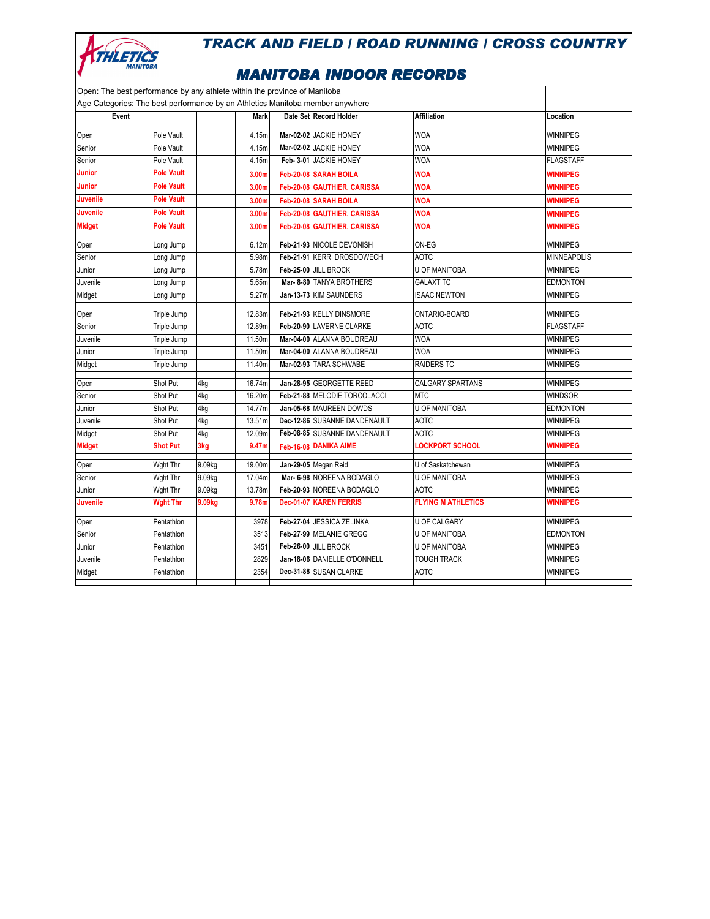

| Open: The best performance by any athlete within the province of Manitoba     |       |                   |        |                   |                              |                           |                    |
|-------------------------------------------------------------------------------|-------|-------------------|--------|-------------------|------------------------------|---------------------------|--------------------|
| Age Categories: The best performance by an Athletics Manitoba member anywhere |       |                   |        |                   |                              |                           |                    |
|                                                                               | Event |                   |        | <b>Mark</b>       | Date Set Record Holder       | <b>Affiliation</b>        | Location           |
| Open                                                                          |       | Pole Vault        |        | 4.15m             | Mar-02-02 JACKIE HONEY       | <b>WOA</b>                | WINNIPEG           |
| Senior                                                                        |       | Pole Vault        |        | 4.15m             | Mar-02-02 JACKIE HONEY       | <b>WOA</b>                | <b>WINNIPEG</b>    |
| Senior                                                                        |       | Pole Vault        |        | 4.15m             | Feb- 3-01 JACKIE HONEY       | <b>WOA</b>                | <b>FLAGSTAFF</b>   |
| <b>Junior</b>                                                                 |       | <b>Pole Vault</b> |        | 3.00m             | Feb-20-08 SARAH BOILA        | <b>WOA</b>                | <b>WINNIPEG</b>    |
| <b>Junior</b>                                                                 |       | <b>Pole Vault</b> |        | 3.00m             | Feb-20-08 GAUTHIER, CARISSA  | <b>WOA</b>                | <b>WINNIPEG</b>    |
| <b>Juvenile</b>                                                               |       | <b>Pole Vault</b> |        | 3.00m             | Feb-20-08 SARAH BOILA        | <b>WOA</b>                | <b>WINNIPEG</b>    |
| <b>Juvenile</b>                                                               |       | <b>Pole Vault</b> |        | 3.00m             | Feb-20-08 GAUTHIER, CARISSA  | <b>WOA</b>                | <b>WINNIPEG</b>    |
| <b>Midget</b>                                                                 |       | <b>Pole Vault</b> |        | 3.00 <sub>m</sub> | Feb-20-08 GAUTHIER, CARISSA  | <b>WOA</b>                | <b>WINNIPEG</b>    |
| Open                                                                          |       | Long Jump         |        | 6.12m             | Feb-21-93 NICOLE DEVONISH    | ON-EG                     | <b>WINNIPEG</b>    |
| Senior                                                                        |       | Long Jump         |        | 5.98m             | Feb-21-91 KERRI DROSDOWECH   | <b>AOTC</b>               | <b>MINNEAPOLIS</b> |
| Junior                                                                        |       | Long Jump         |        | 5.78m             | Feb-25-00 JILL BROCK         | <b>U OF MANITOBA</b>      | <b>WINNIPEG</b>    |
| Juvenile                                                                      |       | Long Jump         |        | 5.65m             | Mar- 8-80 TANYA BROTHERS     | <b>GALAXT TC</b>          | <b>EDMONTON</b>    |
| Midget                                                                        |       | Long Jump         |        | 5.27m             | Jan-13-73 KIM SAUNDERS       | <b>ISAAC NEWTON</b>       | WINNIPEG           |
| Open                                                                          |       | Triple Jump       |        | 12.83m            | Feb-21-93 KELLY DINSMORE     | ONTARIO-BOARD             | WINNIPEG           |
| Senior                                                                        |       | Triple Jump       |        | 12.89m            | Feb-20-90 LAVERNE CLARKE     | <b>AOTC</b>               | <b>FLAGSTAFF</b>   |
| Juvenile                                                                      |       | Triple Jump       |        | 11.50m            | Mar-04-00 ALANNA BOUDREAU    | <b>WOA</b>                | WINNIPEG           |
| Junior                                                                        |       | Triple Jump       |        | 11.50m            | Mar-04-00 ALANNA BOUDREAU    | <b>WOA</b>                | WINNIPEG           |
| Midget                                                                        |       | Triple Jump       |        | 11.40m            | Mar-02-93 TARA SCHWABE       | <b>RAIDERS TC</b>         | WINNIPEG           |
| Open                                                                          |       | Shot Put          | 4kg    | 16.74m            | Jan-28-95 GEORGETTE REED     | <b>CALGARY SPARTANS</b>   | WINNIPEG           |
| Senior                                                                        |       | Shot Put          | 4kg    | 16.20m            | Feb-21-88 MELODIE TORCOLACCI | <b>MTC</b>                | <b>WINDSOR</b>     |
| Junior                                                                        |       | Shot Put          | 4kg    | 14.77m            | Jan-05-68 MAUREEN DOWDS      | U OF MANITOBA             | <b>EDMONTON</b>    |
| Juvenile                                                                      |       | Shot Put          | 4kg    | 13.51m            | Dec-12-86 SUSANNE DANDENAULT | <b>AOTC</b>               | WINNIPEG           |
| Midget                                                                        |       | Shot Put          | 4kg    | 12.09m            | Feb-08-85 SUSANNE DANDENAULT | <b>AOTC</b>               | WINNIPEG           |
| <b>Midget</b>                                                                 |       | <b>Shot Put</b>   | 3kg    | 9.47m             | Feb-16-08 DANIKA AIME        | <b>LOCKPORT SCHOOL</b>    | <b>WINNIPEG</b>    |
| Open                                                                          |       | Wght Thr          | 9.09kg | 19.00m            | Jan-29-05 Megan Reid         | U of Saskatchewan         | WINNIPEG           |
| Senior                                                                        |       | Wght Thr          | 9.09kg | 17.04m            | Mar- 6-98 NOREENA BODAGLO    | <b>U OF MANITOBA</b>      | <b>WINNIPEG</b>    |
| Junior                                                                        |       | Wght Thr          | 9.09kg | 13.78m            | Feb-20-93 NOREENA BODAGLO    | <b>AOTC</b>               | WINNIPEG           |
| <b>Juvenile</b>                                                               |       | <b>Wght Thr</b>   | 9.09kg | 9.78m             | Dec-01-07 KAREN FERRIS       | <b>FLYING M ATHLETICS</b> | <b>WINNIPEG</b>    |
| Open                                                                          |       | Pentathlon        |        | 3978              | Feb-27-04 JESSICA ZELINKA    | U OF CALGARY              | WINNIPEG           |
| Senior                                                                        |       | Pentathlon        |        | 3513              | Feb-27-99 MELANIE GREGG      | <b>U OF MANITOBA</b>      | EDMONTON           |
| Junior                                                                        |       | Pentathlon        |        | 3451              | Feb-26-00 JILL BROCK         | <b>U OF MANITOBA</b>      | WINNIPEG           |
| Juvenile                                                                      |       | Pentathlon        |        | 2829              | Jan-18-06 DANIELLE O'DONNELL | <b>TOUGH TRACK</b>        | WINNIPEG           |
| Midget                                                                        |       | Pentathlon        |        | 2354              | Dec-31-88 SUSAN CLARKE       | <b>AOTC</b>               | WINNIPEG           |
|                                                                               |       |                   |        |                   |                              |                           |                    |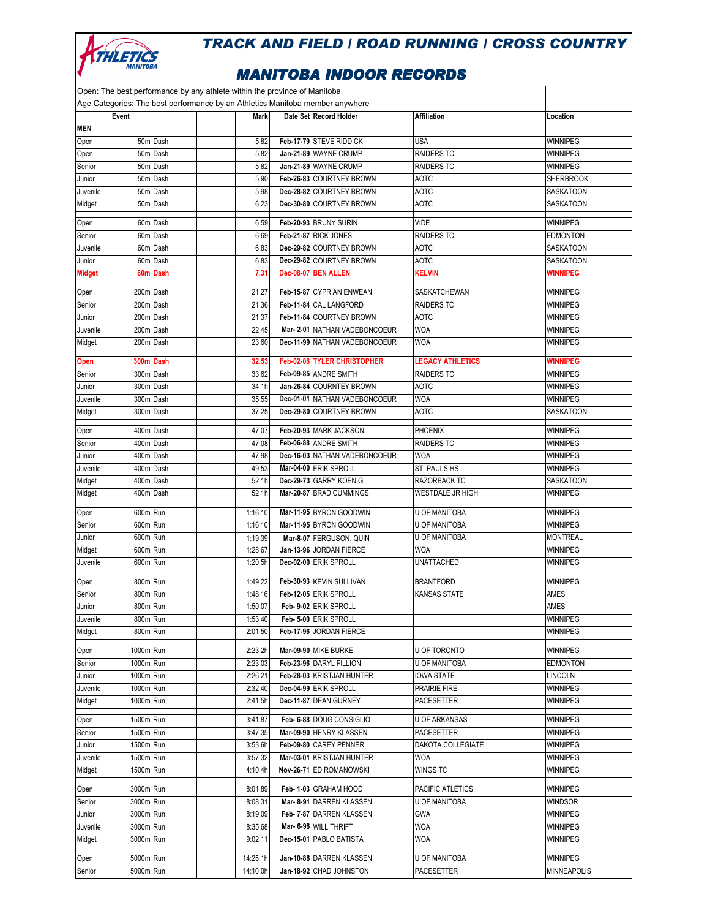

| Open: The best performance by any athlete within the province of Manitoba     |           |          |          |  |                               |                         |                    |  |  |
|-------------------------------------------------------------------------------|-----------|----------|----------|--|-------------------------------|-------------------------|--------------------|--|--|
| Age Categories: The best performance by an Athletics Manitoba member anywhere |           |          |          |  |                               |                         |                    |  |  |
| <b>MEN</b>                                                                    | Event     |          | Mark     |  | Date Set Record Holder        | <b>Affiliation</b>      | Location           |  |  |
| Open                                                                          |           | 50m Dash | 5.82     |  | Feb-17-79 STEVE RIDDICK       | USA                     | WINNIPEG           |  |  |
| Open                                                                          |           | 50m Dash | 5.82     |  | Jan-21-89 WAYNE CRUMP         | <b>RAIDERS TC</b>       | <b>WINNIPEG</b>    |  |  |
| Senior                                                                        |           | 50m Dash | 5.82     |  | Jan-21-89 WAYNE CRUMP         | <b>RAIDERS TC</b>       | WINNIPEG           |  |  |
| Junior                                                                        |           | 50m Dash | 5.90     |  | Feb-26-83 COURTNEY BROWN      | <b>AOTC</b>             | <b>SHERBROOK</b>   |  |  |
| Juvenile                                                                      |           | 50m Dash | 5.98     |  | Dec-28-82 COURTNEY BROWN      | <b>AOTC</b>             | SASKATOON          |  |  |
| Midget                                                                        |           | 50m Dash | 6.23     |  | Dec-30-80 COURTNEY BROWN      | <b>AOTC</b>             | SASKATOON          |  |  |
| Open                                                                          |           | 60m Dash | 6.59     |  | Feb-20-93 BRUNY SURIN         | <b>VIDE</b>             | <b>WINNIPEG</b>    |  |  |
| Senior                                                                        |           | 60m Dash | 6.69     |  | Feb-21-87 RICK JONES          | RAIDERS TC              | <b>EDMONTON</b>    |  |  |
| Juvenile                                                                      |           | 60m Dash | 6.83     |  | Dec-29-82 COURTNEY BROWN      | <b>AOTC</b>             | SASKATOON          |  |  |
| Junior                                                                        |           | 60m Dash | 6.83     |  | Dec-29-82 COURTNEY BROWN      | <b>AOTC</b>             | SASKATOON          |  |  |
| <b>Midget</b>                                                                 |           | 60m Dash | 7.31     |  | Dec-08-07 BEN ALLEN           | <b>KELVIN</b>           | <b>WINNIPEG</b>    |  |  |
| Open                                                                          | 200m Dash |          | 21.27    |  | Feb-15-87 CYPRIAN ENWEANI     | SASKATCHEWAN            | WINNIPEG           |  |  |
| Senior                                                                        | 200m Dash |          | 21.36    |  | Feb-11-84 CAL LANGFORD        | <b>RAIDERS TC</b>       | WINNIPEG           |  |  |
| Junior                                                                        | 200m Dash |          | 21.37    |  | Feb-11-84 COURTNEY BROWN      | <b>AOTC</b>             | WINNIPEG           |  |  |
| Juvenile                                                                      | 200m Dash |          | 22.45    |  | Mar- 2-01 NATHAN VADEBONCOEUR | <b>WOA</b>              | <b>WINNIPEG</b>    |  |  |
| Midget                                                                        | 200m Dash |          | 23.60    |  | Dec-11-99 NATHAN VADEBONCOEUR | <b>WOA</b>              | WINNIPEG           |  |  |
| Open                                                                          | 300m Dash |          | 32.53    |  | Feb-02-08 TYLER CHRISTOPHER   | <b>LEGACY ATHLETICS</b> | <b>WINNIPEG</b>    |  |  |
| Senior                                                                        | 300m Dash |          | 33.62    |  | Feb-09-85 ANDRE SMITH         | <b>RAIDERS TC</b>       | WINNIPEG           |  |  |
| Junior                                                                        | 300m Dash |          | 34.1h    |  | Jan-26-84 COURNTEY BROWN      | <b>AOTC</b>             | WINNIPEG           |  |  |
| Juvenile                                                                      | 300m Dash |          | 35.55    |  | Dec-01-01 NATHAN VADEBONCOEUR | <b>WOA</b>              | <b>WINNIPEG</b>    |  |  |
| Midget                                                                        | 300m Dash |          | 37.25    |  | Dec-29-80 COURTNEY BROWN      | <b>AOTC</b>             | SASKATOON          |  |  |
| Open                                                                          | 400m Dash |          | 47.07    |  | Feb-20-93 MARK JACKSON        | <b>PHOENIX</b>          | WINNIPEG           |  |  |
| Senior                                                                        | 400m Dash |          | 47.08    |  | Feb-06-88 ANDRE SMITH         | <b>RAIDERS TC</b>       | WINNIPEG           |  |  |
| Junior                                                                        | 400m Dash |          | 47.98    |  | Dec-16-03 NATHAN VADEBONCOEUR | <b>WOA</b>              | WINNIPEG           |  |  |
| Juvenile                                                                      | 400m Dash |          | 49.53    |  | Mar-04-00 ERIK SPROLL         | ST. PAULS HS            | WINNIPEG           |  |  |
| Midget                                                                        | 400m Dash |          | 52.1h    |  | Dec-29-73 GARRY KOENIG        | RAZORBACK TC            | SASKATOON          |  |  |
| Midget                                                                        | 400m Dash |          | 52.1h    |  | Mar-20-87 BRAD CUMMINGS       | <b>WESTDALE JR HIGH</b> | WINNIPEG           |  |  |
| Open                                                                          | 600m Run  |          | 1:16.10  |  | Mar-11-95 BYRON GOODWIN       | <b>U OF MANITOBA</b>    | WINNIPEG           |  |  |
| Senior                                                                        | 600m Run  |          | 1:16.10  |  | Mar-11-95 BYRON GOODWIN       | U OF MANITOBA           | WINNIPEG           |  |  |
| Junior                                                                        | 600m Run  |          | 1:19.39  |  | Mar-8-07 FERGUSON, QUIN       | U OF MANITOBA           | <b>MONTREAL</b>    |  |  |
| Midget                                                                        | 600m Run  |          | 1:28.67  |  | Jan-13-96 JORDAN FIERCE       | <b>WOA</b>              | WINNIPEG           |  |  |
| Juvenile                                                                      | 600m Run  |          | 1:20.5h  |  | Dec-02-00 ERIK SPROLL         | <b>UNATTACHED</b>       | WINNIPEG           |  |  |
| Open                                                                          | 800m Run  |          | 1:49.22  |  | Feb-30-93 KEVIN SULLIVAN      | <b>BRANTFORD</b>        | WINNIPEG           |  |  |
| Senior                                                                        | 800m Run  |          | 1:48.16  |  | Feb-12-05 ERIK SPROLL         | KANSAS STATE            | AMES               |  |  |
| Junior                                                                        | 800m Run  |          | 1:50.07  |  | Feb- 9-02 ERIK SPROLL         |                         | AMES               |  |  |
| Juvenile                                                                      | 800m Run  |          | 1:53.40  |  | Feb- 5-00 ERIK SPROLL         |                         | WINNIPEG           |  |  |
| Midget                                                                        | 800m Run  |          | 2:01.50  |  | Feb-17-96 JORDAN FIERCE       |                         | WINNIPEG           |  |  |
| Open                                                                          | 1000m Run |          | 2:23.2h  |  | Mar-09-90 MIKE BURKE          | U OF TORONTO            | WINNIPEG           |  |  |
| Senior                                                                        | 1000m Run |          | 2:23.03  |  | Feb-23-96 DARYL FILLION       | U OF MANITOBA           | <b>EDMONTON</b>    |  |  |
| Junior                                                                        | 1000m Run |          | 2:26.21  |  | Feb-28-03 KRISTJAN HUNTER     | IOWA STATE              | <b>LINCOLN</b>     |  |  |
| Juvenile                                                                      | 1000m Run |          | 2:32.40  |  | Dec-04-99 ERIK SPROLL         | PRAIRIE FIRE            | WINNIPEG           |  |  |
| Midget                                                                        | 1000m Run |          | 2:41.5h  |  | Dec-11-87 DEAN GURNEY         | PACESETTER              | <b>WINNIPEG</b>    |  |  |
| Open                                                                          | 1500m Run |          | 3:41.87  |  | Feb- 6-88 DOUG CONSIGLIO      | U OF ARKANSAS           | <b>WINNIPEG</b>    |  |  |
| Senior                                                                        | 1500m Run |          | 3:47.35  |  | Mar-09-90 HENRY KLASSEN       | PACESETTER              | <b>WINNIPEG</b>    |  |  |
| Junior                                                                        | 1500m Run |          | 3:53.6h  |  | Feb-09-80 CAREY PENNER        | DAKOTA COLLEGIATE       | <b>WINNIPEG</b>    |  |  |
| Juvenile                                                                      | 1500m Run |          | 3:57.32  |  | Mar-03-01 KRISTJAN HUNTER     | <b>WOA</b>              | WINNIPEG           |  |  |
| Midget                                                                        | 1500m Run |          | 4:10.4h  |  | Nov-26-71 ED ROMANOWSKI       | WINGS TC                | WINNIPEG           |  |  |
| Open                                                                          | 3000m Run |          | 8:01.89  |  | Feb- 1-03 GRAHAM HOOD         | PACIFIC ATLETICS        | WINNIPEG           |  |  |
| Senior                                                                        | 3000m Run |          | 8:08.31  |  | Mar- 8-91 DARREN KLASSEN      | U OF MANITOBA           | <b>WINDSOR</b>     |  |  |
| Junior                                                                        | 3000m Run |          | 8:19.09  |  | Feb- 7-87 DARREN KLASSEN      | <b>GWA</b>              | WINNIPEG           |  |  |
| Juvenile                                                                      | 3000m Run |          | 8:35.68  |  | Mar- 6-98 WILL THRIFT         | <b>WOA</b>              | WINNIPEG           |  |  |
| Midget                                                                        | 3000m Run |          | 9:02.11  |  | Dec-15-01 PABLO BATISTA       | <b>WOA</b>              | WINNIPEG           |  |  |
| Open                                                                          | 5000m Run |          | 14:25.1h |  | Jan-10-88 DARREN KLASSEN      | U OF MANITOBA           | WINNIPEG           |  |  |
| Senior                                                                        | 5000m Run |          | 14:10.0h |  | Jan-18-92 CHAD JOHNSTON       | PACESETTER              | <b>MINNEAPOLIS</b> |  |  |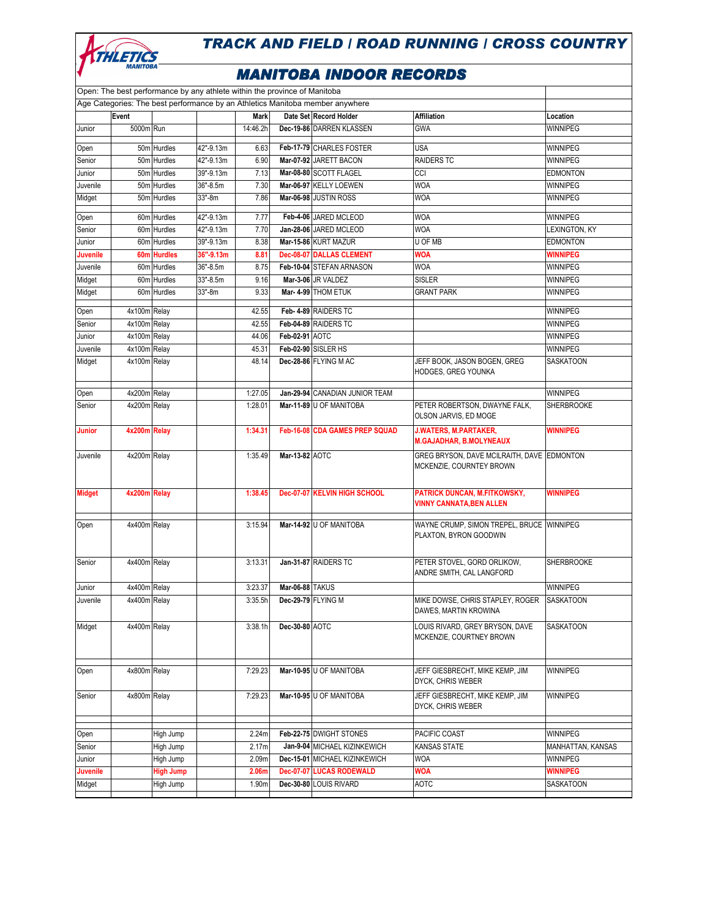

|                                                                               |              | Open: The best performance by any athlete within the province of Manitoba |           |             |                 |                                 |                                                                        |                   |  |
|-------------------------------------------------------------------------------|--------------|---------------------------------------------------------------------------|-----------|-------------|-----------------|---------------------------------|------------------------------------------------------------------------|-------------------|--|
| Age Categories: The best performance by an Athletics Manitoba member anywhere |              |                                                                           |           |             |                 |                                 |                                                                        |                   |  |
|                                                                               | Event        |                                                                           |           | <b>Mark</b> |                 | Date Set Record Holder          | <b>Affiliation</b>                                                     | Location          |  |
| Junior                                                                        | 5000m Run    |                                                                           |           | 14:46.2h    |                 | Dec-19-86 DARREN KLASSEN        | <b>GWA</b>                                                             | WINNIPEG          |  |
| Open                                                                          |              | 50m Hurdles                                                               | 42"-9.13m | 6.63        |                 | Feb-17-79 CHARLES FOSTER        | <b>USA</b>                                                             | WINNIPEG          |  |
| Senior                                                                        |              | 50m Hurdles                                                               | 42"-9.13m | 6.90        |                 | Mar-07-92 JARETT BACON          | <b>RAIDERS TC</b>                                                      | WINNIPEG          |  |
| Junior                                                                        |              | 50m Hurdles                                                               | 39"-9.13m | 7.13        |                 | Mar-08-80 SCOTT FLAGEL          | CCI                                                                    | <b>EDMONTON</b>   |  |
| Juvenile                                                                      |              | 50m Hurdles                                                               | 36"-8.5m  | 7.30        |                 | Mar-06-97 KELLY LOEWEN          | <b>WOA</b>                                                             | WINNIPEG          |  |
| Midget                                                                        |              | 50m Hurdles                                                               | 33"-8m    | 7.86        |                 | Mar-06-98 JUSTIN ROSS           | <b>WOA</b>                                                             | WINNIPEG          |  |
|                                                                               |              |                                                                           |           |             |                 |                                 |                                                                        |                   |  |
| Open                                                                          |              | 60m Hurdles                                                               | 42"-9.13m | 7.77        |                 | Feb-4-06 JARED MCLEOD           | <b>WOA</b>                                                             | WINNIPEG          |  |
| Senior                                                                        |              | 60m Hurdles                                                               | 42"-9.13m | 7.70        |                 | Jan-28-06 JARED MCLEOD          | <b>WOA</b>                                                             | LEXINGTON, KY     |  |
| Junior                                                                        |              | 60m Hurdles                                                               | 39"-9.13m | 8.38        |                 | Mar-15-86 KURT MAZUR            | U OF MB                                                                | <b>EDMONTON</b>   |  |
| Juvenile                                                                      |              | 60m Hurdles                                                               | 36"-9.13m | 8.81        |                 | <b>Dec-08-07 DALLAS CLEMENT</b> | <b>WOA</b>                                                             | <b>WINNIPEG</b>   |  |
| Juvenile                                                                      |              | 60m Hurdles                                                               | 36"-8.5m  | 8.75        |                 | Feb-10-04 STEFAN ARNASON        | <b>WOA</b>                                                             | WINNIPEG          |  |
| Midget                                                                        |              | 60m Hurdles                                                               | 33"-8.5m  | 9.16        |                 | Mar-3-06 JR VALDEZ              | <b>SISLER</b>                                                          | WINNIPEG          |  |
| Midget                                                                        |              | 60m Hurdles                                                               | 33"-8m    | 9.33        |                 | Mar- 4-99 THOM ETUK             | <b>GRANT PARK</b>                                                      | WINNIPEG          |  |
| Open                                                                          | 4x100m Relay |                                                                           |           | 42.55       |                 | Feb- 4-89 RAIDERS TC            |                                                                        | WINNIPEG          |  |
| Senior                                                                        | 4x100m Relay |                                                                           |           | 42.55       |                 | Feb-04-89 RAIDERS TC            |                                                                        | WINNIPEG          |  |
| Junior                                                                        | 4x100m Relay |                                                                           |           | 44.06       | Feb-02-91 AOTC  |                                 |                                                                        | WINNIPEG          |  |
| Juvenile                                                                      | 4x100m Relay |                                                                           |           | 45.31       |                 | Feb-02-90 SISLER HS             |                                                                        | WINNIPEG          |  |
| Midget                                                                        | 4x100m Relay |                                                                           |           | 48.14       |                 | Dec-28-86 FLYING M AC           | JEFF BOOK, JASON BOGEN, GREG<br>HODGES, GREG YOUNKA                    | SASKATOON         |  |
|                                                                               |              |                                                                           |           |             |                 |                                 |                                                                        |                   |  |
| Open                                                                          | 4x200m Relay |                                                                           |           | 1:27.05     |                 | Jan-29-94 CANADIAN JUNIOR TEAM  |                                                                        | WINNIPEG          |  |
| Senior                                                                        | 4x200m Relay |                                                                           |           | 1:28.01     |                 | Mar-11-89 U OF MANITOBA         | PETER ROBERTSON, DWAYNE FALK,<br>OLSON JARVIS, ED MOGE                 | SHERBROOKE        |  |
| <b>Junior</b>                                                                 | 4x200m Relay |                                                                           |           | 1:34.31     |                 | Feb-16-08 CDA GAMES PREP SQUAD  | <b>J.WATERS, M.PARTAKER,</b><br><b>M.GAJADHAR, B.MOLYNEAUX</b>         | <b>WINNIPEG</b>   |  |
| Juvenile                                                                      | 4x200m Relay |                                                                           |           | 1:35.49     | Mar-13-82 AOTC  |                                 | GREG BRYSON, DAVE MCILRAITH, DAVE EDMONTON<br>MCKENZIE, COURNTEY BROWN |                   |  |
| <b>Midget</b>                                                                 | 4x200m Relay |                                                                           |           | 1:38.45     |                 | Dec-07-07 KELVIN HIGH SCHOOL    | PATRICK DUNCAN, M.FITKOWSKY,<br><b>VINNY CANNATA,BEN ALLEN</b>         | <b>WINNIPEG</b>   |  |
| Open                                                                          | 4x400m Relay |                                                                           |           | 3:15.94     |                 | Mar-14-92 U OF MANITOBA         | WAYNE CRUMP, SIMON TREPEL, BRUCE WINNIPEG<br>PLAXTON, BYRON GOODWIN    |                   |  |
| Senior                                                                        | 4x400m Relay |                                                                           |           | 3:13.31     |                 | Jan-31-87 RAIDERS TC            | PETER STOVEL, GORD ORLIKOW,<br>ANDRE SMITH, CAL LANGFORD               | SHERBROOKE        |  |
| Junior                                                                        | 4x400m Relay |                                                                           |           | 3:23.37     | Mar-06-88 TAKUS |                                 |                                                                        | WINNIPEG          |  |
| Juvenile                                                                      | 4x400m Relay |                                                                           |           | 3:35.5h     |                 | Dec-29-79 FLYING M              | MIKE DOWSE, CHRIS STAPLEY, ROGER<br>DAWES, MARTIN KROWINA              | <b>SASKATOON</b>  |  |
| Midget                                                                        | 4x400m Relay |                                                                           |           | 3:38.1h     | Dec-30-80 AOTC  |                                 | LOUIS RIVARD, GREY BRYSON, DAVE<br>MCKENZIE, COURTNEY BROWN            | SASKATOON         |  |
| Open                                                                          | 4x800m Relay |                                                                           |           | 7:29.23     |                 | Mar-10-95 U OF MANITOBA         | JEFF GIESBRECHT, MIKE KEMP, JIM                                        | WINNIPEG          |  |
|                                                                               | 4x800m Relay |                                                                           |           |             |                 | Mar-10-95 U OF MANITOBA         | DYCK. CHRIS WEBER                                                      | WINNIPEG          |  |
| Senior                                                                        |              |                                                                           |           | 7:29.23     |                 |                                 | JEFF GIESBRECHT, MIKE KEMP, JIM<br>DYCK, CHRIS WEBER                   |                   |  |
| Open                                                                          |              | High Jump                                                                 |           | 2.24m       |                 | Feb-22-75 DWIGHT STONES         | PACIFIC COAST                                                          | WINNIPEG          |  |
| Senior                                                                        |              | High Jump                                                                 |           | 2.17m       |                 | Jan-9-04 MICHAEL KIZINKEWICH    | KANSAS STATE                                                           | MANHATTAN, KANSAS |  |
| Junior                                                                        |              | High Jump                                                                 |           | 2.09m       |                 | Dec-15-01 MICHAEL KIZINKEWICH   | <b>WOA</b>                                                             | WINNIPEG          |  |
| <b>Juvenile</b>                                                               |              | <b>High Jump</b>                                                          |           | 2.06m       |                 | Dec-07-07 LUCAS RODEWALD        | <b>WOA</b>                                                             | <b>WINNIPEG</b>   |  |
| Midget                                                                        |              | High Jump                                                                 |           | 1.90m       |                 | Dec-30-80 LOUIS RIVARD          | <b>AOTC</b>                                                            | SASKATOON         |  |
|                                                                               |              |                                                                           |           |             |                 |                                 |                                                                        |                   |  |